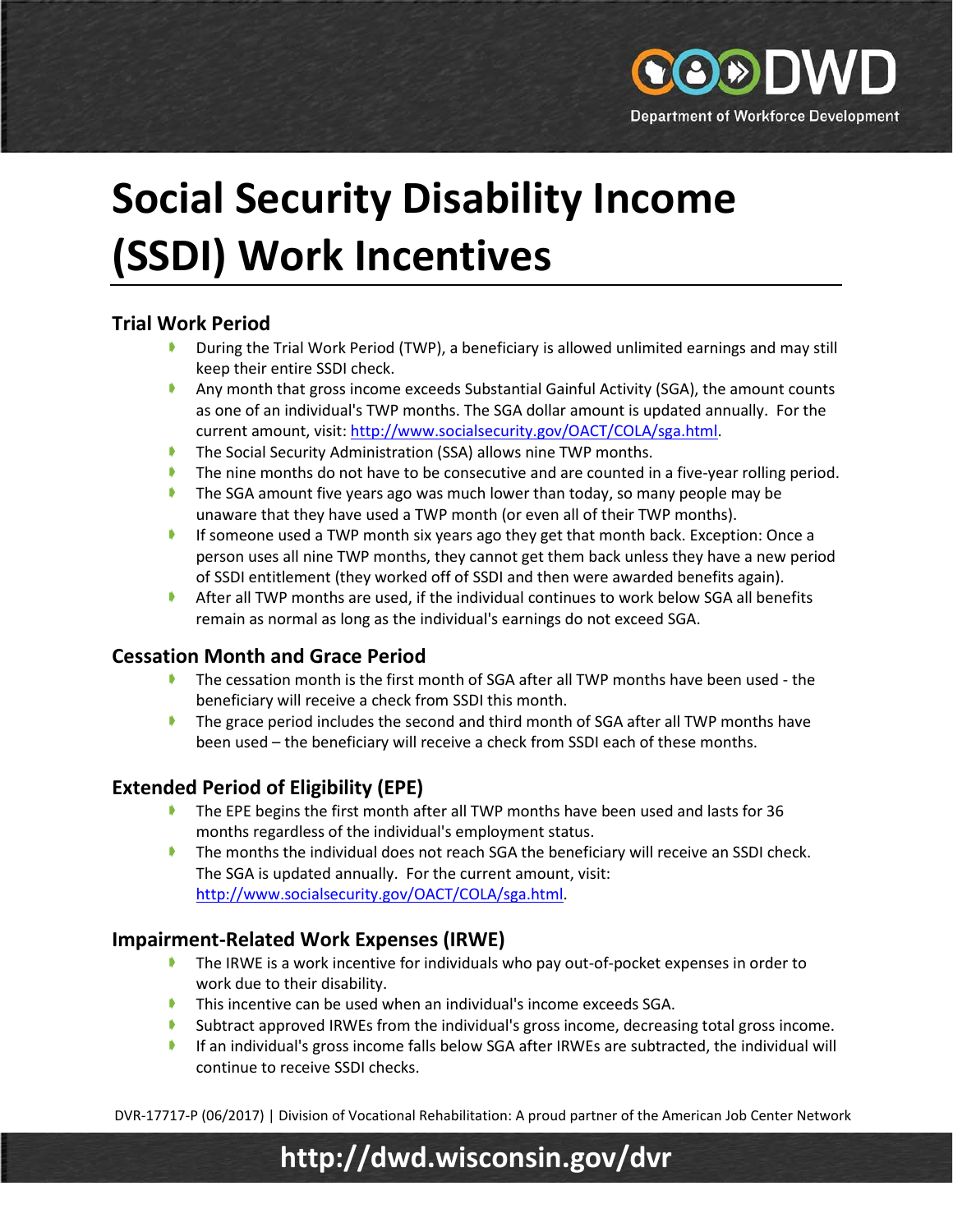

# **Social Security Disability Income (SSDI) Work Incentives**

## **Trial Work Period**

- **During the Trial Work Period (TWP), a beneficiary is allowed unlimited earnings and may still** keep their entire SSDI check.
- Any month that gross income exceeds Substantial Gainful Activity (SGA), the amount counts as one of an individual's TWP months. The SGA dollar amount is updated annually. For the current amount, visit: [http://www.socialsecurity.gov/OACT/COLA/sga.html.](http://www.socialsecurity.gov/OACT/COLA/sga.html)
- The Social Security Administration (SSA) allows nine TWP months.
- The nine months do not have to be consecutive and are counted in a five-year rolling period.
- The SGA amount five years ago was much lower than today, so many people may be unaware that they have used a TWP month (or even all of their TWP months).
- **If someone used a TWP month six years ago they get that month back. Exception: Once a** person uses all nine TWP months, they cannot get them back unless they have a new period of SSDI entitlement (they worked off of SSDI and then were awarded benefits again).
- After all TWP months are used, if the individual continues to work below SGA all benefits remain as normal as long as the individual's earnings do not exceed SGA.

### **Cessation Month and Grace Period**

- **The cessation month is the first month of SGA after all TWP months have been used the** beneficiary will receive a check from SSDI this month.
- **■** The grace period includes the second and third month of SGA after all TWP months have been used – the beneficiary will receive a check from SSDI each of these months.

### **Extended Period of Eligibility (EPE)**

- The EPE begins the first month after all TWP months have been used and lasts for 36 months regardless of the individual's employment status.
- The months the individual does not reach SGA the beneficiary will receive an SSDI check. The SGA is updated annually. For the current amount, visit: [http://www.socialsecurity.gov/OACT/COLA/sga.html.](http://www.socialsecurity.gov/OACT/COLA/sga.html)

### **Impairment-Related Work Expenses (IRWE)**

- The IRWE is a work incentive for individuals who pay out-of-pocket expenses in order to work due to their disability.
- This incentive can be used when an individual's income exceeds SGA.
- Subtract approved IRWEs from the individual's gross income, decreasing total gross income.
- **If an individual's gross income falls below SGA after IRWEs are subtracted, the individual will** continue to receive SSDI checks.

DVR-17717-P (06/2017) | Division of Vocational Rehabilitation: A proud partner of the American Job Center Network

# **http://dwd.wisconsin.gov/dvr**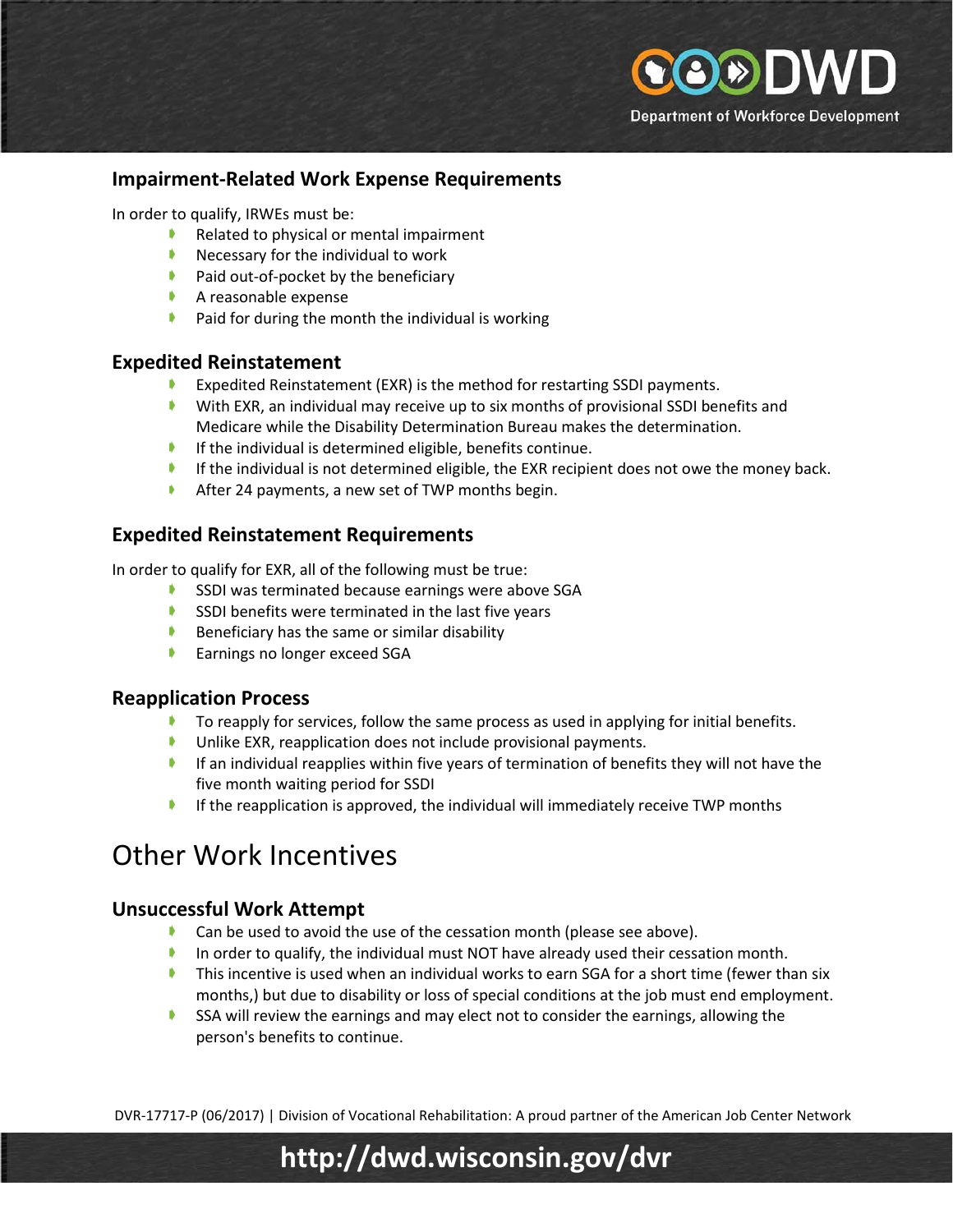

#### **Impairment-Related Work Expense Requirements**

In order to qualify, IRWEs must be:

- Related to physical or mental impairment
- Necessary for the individual to work
- $\blacktriangleright$  Paid out-of-pocket by the beneficiary
- A reasonable expense
- $\blacktriangleright$  Paid for during the month the individual is working

#### **Expedited Reinstatement**

- **Expedited Reinstatement (EXR) is the method for restarting SSDI payments.**
- With EXR, an individual may receive up to six months of provisional SSDI benefits and Medicare while the Disability Determination Bureau makes the determination.
- If the individual is determined eligible, benefits continue.
- If the individual is not determined eligible, the EXR recipient does not owe the money back.
- After 24 payments, a new set of TWP months begin.

#### **Expedited Reinstatement Requirements**

In order to qualify for EXR, all of the following must be true:

- SSDI was terminated because earnings were above SGA
- SSDI benefits were terminated in the last five years
- $\blacktriangleright$  Beneficiary has the same or similar disability
- **Earnings no longer exceed SGA**

#### **Reapplication Process**

- $\blacktriangleright$  To reapply for services, follow the same process as used in applying for initial benefits.
- **Unlike EXR, reapplication does not include provisional payments.**
- If an individual reapplies within five years of termination of benefits they will not have the five month waiting period for SSDI
- If the reapplication is approved, the individual will immediately receive TWP months

# Other Work Incentives

#### **Unsuccessful Work Attempt**

- **Can be used to avoid the use of the cessation month (please see above).**
- In order to qualify, the individual must NOT have already used their cessation month.
- **This incentive is used when an individual works to earn SGA for a short time (fewer than six** months,) but due to disability or loss of special conditions at the job must end employment.
- SSA will review the earnings and may elect not to consider the earnings, allowing the person's benefits to continue.

DVR-17717-P (06/2017) | Division of Vocational Rehabilitation: A proud partner of the American Job Center Network

# **http://dwd.wisconsin.gov/dvr**